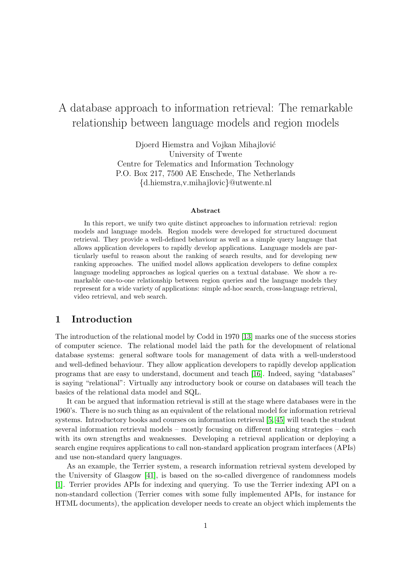# A database approach to information retrieval: The remarkable relationship between language models and region models

Djoerd Hiemstra and Vojkan Mihajlović University of Twente Centre for Telematics and Information Technology P.O. Box 217, 7500 AE Enschede, The Netherlands {d.hiemstra,v.mihajlovic}@utwente.nl

#### Abstract

In this report, we unify two quite distinct approaches to information retrieval: region models and language models. Region models were developed for structured document retrieval. They provide a well-defined behaviour as well as a simple query language that allows application developers to rapidly develop applications. Language models are particularly useful to reason about the ranking of search results, and for developing new ranking approaches. The unified model allows application developers to define complex language modeling approaches as logical queries on a textual database. We show a remarkable one-to-one relationship between region queries and the language models they represent for a wide variety of applications: simple ad-hoc search, cross-language retrieval, video retrieval, and web search.

# 1 Introduction

The introduction of the relational model by Codd in 1970 [\[13\]](#page-13-0) marks one of the success stories of computer science. The relational model laid the path for the development of relational database systems: general software tools for management of data with a well-understood and well-defined behaviour. They allow application developers to rapidly develop application programs that are easy to understand, document and teach [\[16\]](#page-13-1). Indeed, saying "databases" is saying "relational": Virtually any introductory book or course on databases will teach the basics of the relational data model and SQL.

It can be argued that information retrieval is still at the stage where databases were in the 1960's. There is no such thing as an equivalent of the relational model for information retrieval systems. Introductory books and courses on information retrieval [\[5,](#page-12-0) [45\]](#page-14-0) will teach the student several information retrieval models – mostly focusing on different ranking strategies – each with its own strengths and weaknesses. Developing a retrieval application or deploying a search engine requires applications to call non-standard application program interfaces (APIs) and use non-standard query languages.

As an example, the Terrier system, a research information retrieval system developed by the University of Glasgow [\[41\]](#page-14-1), is based on the so-called divergence of randomness models [\[1\]](#page-12-1). Terrier provides APIs for indexing and querying. To use the Terrier indexing API on a non-standard collection (Terrier comes with some fully implemented APIs, for instance for HTML documents), the application developer needs to create an object which implements the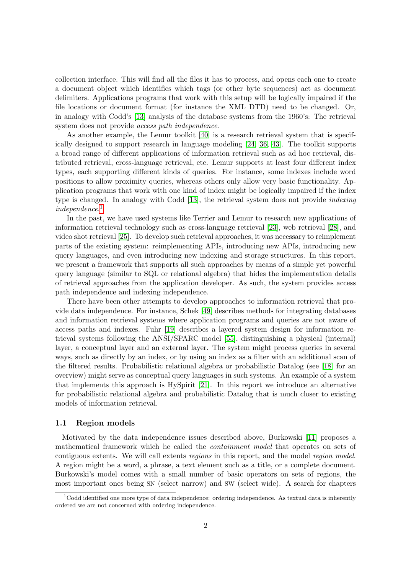collection interface. This will find all the files it has to process, and opens each one to create a document object which identifies which tags (or other byte sequences) act as document delimiters. Applications programs that work with this setup will be logically impaired if the file locations or document format (for instance the XML DTD) need to be changed. Or, in analogy with Codd's [\[13\]](#page-13-0) analysis of the database systems from the 1960's: The retrieval system does not provide *access path independence*.

As another example, the Lemur toolkit [\[40\]](#page-14-2) is a research retrieval system that is specifically designed to support research in language modeling [\[24,](#page-13-2) [36,](#page-14-3) [43\]](#page-14-4). The toolkit supports a broad range of different applications of information retrieval such as ad hoc retrieval, distributed retrieval, cross-language retrieval, etc. Lemur supports at least four different index types, each supporting different kinds of queries. For instance, some indexes include word positions to allow proximity queries, whereas others only allow very basic functionality. Application programs that work with one kind of index might be logically impaired if the index type is changed. In analogy with Codd [\[13\]](#page-13-0), the retrieval system does not provide indexing independence. [1](#page-1-0)

In the past, we have used systems like Terrier and Lemur to research new applications of information retrieval technology such as cross-language retrieval [\[23\]](#page-13-3), web retrieval [\[28\]](#page-13-4), and video shot retrieval [\[25\]](#page-13-5). To develop such retrieval approaches, it was necessary to reimplement parts of the existing system: reimplementing APIs, introducing new APIs, introducing new query languages, and even introducing new indexing and storage structures. In this report, we present a framework that supports all such approaches by means of a simple yet powerful query language (similar to SQL or relational algebra) that hides the implementation details of retrieval approaches from the application developer. As such, the system provides access path independence and indexing independence.

There have been other attempts to develop approaches to information retrieval that provide data independence. For instance, Schek [\[49\]](#page-15-0) describes methods for integrating databases and information retrieval systems where application programs and queries are not aware of access paths and indexes. Fuhr [\[19\]](#page-13-6) describes a layered system design for information retrieval systems following the ANSI/SPARC model [\[55\]](#page-15-1), distinguishing a physical (internal) layer, a conceptual layer and an external layer. The system might process queries in several ways, such as directly by an index, or by using an index as a filter with an additional scan of the filtered results. Probabilistic relational algebra or probabilistic Datalog (see [\[18\]](#page-13-7) for an overview) might serve as conceptual query languages in such systems. An example of a system that implements this approach is HySpirit [\[21\]](#page-13-8). In this report we introduce an alternative for probabilistic relational algebra and probabilistic Datalog that is much closer to existing models of information retrieval.

#### 1.1 Region models

Motivated by the data independence issues described above, Burkowski [\[11\]](#page-12-2) proposes a mathematical framework which he called the containment model that operates on sets of contiguous extents. We will call extents regions in this report, and the model region model. A region might be a word, a phrase, a text element such as a title, or a complete document. Burkowski's model comes with a small number of basic operators on sets of regions, the most important ones being SN (select narrow) and SW (select wide). A search for chapters

<span id="page-1-0"></span> $1\text{Cod}\ 1\text{d}$  identified one more type of data independence: ordering independence. As textual data is inherently ordered we are not concerned with ordering independence.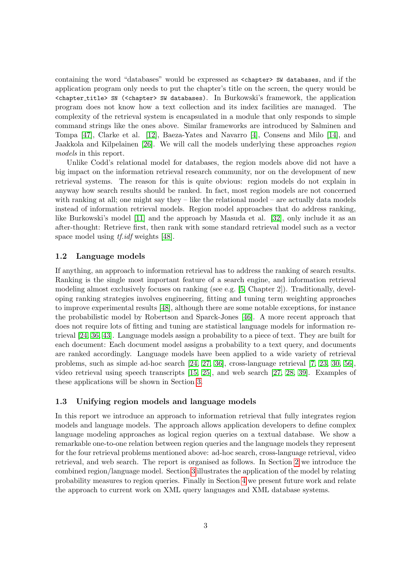containing the word "databases" would be expressed as <chapter> SW databases, and if the application program only needs to put the chapter's title on the screen, the query would be <chapter title> SN (<chapter> SW databases). In Burkowski's framework, the application program does not know how a text collection and its index facilities are managed. The complexity of the retrieval system is encapsulated in a module that only responds to simple command strings like the ones above. Similar frameworks are introduced by Salminen and Tompa [\[47\]](#page-15-2), Clarke et al. [\[12\]](#page-12-3), Baeza-Yates and Navarro [\[4\]](#page-12-4), Consens and Milo [\[14\]](#page-13-9), and Jaakkola and Kilpelainen [\[26\]](#page-13-10). We will call the models underlying these approaches region models in this report.

Unlike Codd's relational model for databases, the region models above did not have a big impact on the information retrieval research community, nor on the development of new retrieval systems. The reason for this is quite obvious: region models do not explain in anyway how search results should be ranked. In fact, most region models are not concerned with ranking at all; one might say they  $-$  like the relational model – are actually data models instead of information retrieval models. Region model approaches that do address ranking, like Burkowski's model [\[11\]](#page-12-2) and the approach by Masuda et al. [\[32\]](#page-14-5), only include it as an after-thought: Retrieve first, then rank with some standard retrieval model such as a vector space model using *tf.idf* weights [\[48\]](#page-15-3).

## 1.2 Language models

If anything, an approach to information retrieval has to address the ranking of search results. Ranking is the single most important feature of a search engine, and information retrieval modeling almost exclusively focuses on ranking (see e.g. [\[5,](#page-12-0) Chapter 2]). Traditionally, developing ranking strategies involves engineering, fitting and tuning term weighting approaches to improve experimental results [\[48\]](#page-15-3), although there are some notable exceptions, for instance the probabilistic model by Robertson and Sparck-Jones [\[46\]](#page-14-6). A more recent approach that does not require lots of fitting and tuning are statistical language models for information retrieval [\[24,](#page-13-2) [36,](#page-14-3) [43\]](#page-14-4). Language models assign a probability to a piece of text. They are built for each document: Each document model assigns a probability to a text query, and documents are ranked accordingly. Language models have been applied to a wide variety of retrieval problems, such as simple ad-hoc search [\[24,](#page-13-2) [27,](#page-13-11) [36\]](#page-14-3), cross-language retrieval [\[7,](#page-12-5) [23,](#page-13-3) [30,](#page-14-7) [56\]](#page-15-4), video retrieval using speech transcripts [\[15,](#page-13-12) [25\]](#page-13-5), and web search [\[27,](#page-13-11) [28,](#page-13-4) [39\]](#page-14-8). Examples of these applications will be shown in Section [3.](#page-5-0)

## 1.3 Unifying region models and language models

In this report we introduce an approach to information retrieval that fully integrates region models and language models. The approach allows application developers to define complex language modeling approaches as logical region queries on a textual database. We show a remarkable one-to-one relation between region queries and the language models they represent for the four retrieval problems mentioned above: ad-hoc search, cross-language retrieval, video retrieval, and web search. The report is organised as follows. In Section [2](#page-3-0) we introduce the combined region/language model. Section [3](#page-5-0) illustrates the application of the model by relating probability measures to region queries. Finally in Section [4](#page-10-0) we present future work and relate the approach to current work on XML query languages and XML database systems.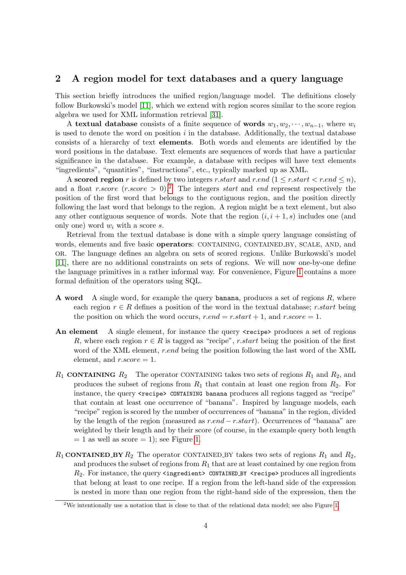# <span id="page-3-0"></span>2 A region model for text databases and a query language

This section briefly introduces the unified region/language model. The definitions closely follow Burkowski's model [\[11\]](#page-12-2), which we extend with region scores similar to the score region algebra we used for XML information retrieval [\[31\]](#page-14-9).

A textual database consists of a finite sequence of words  $w_1, w_2, \dots, w_{n-1}$ , where  $w_i$ is used to denote the word on position  $i$  in the database. Additionally, the textual database consists of a hierarchy of text elements. Both words and elements are identified by the word positions in the database. Text elements are sequences of words that have a particular significance in the database. For example, a database with recipes will have text elements "ingredients", "quantities", "instructions", etc., typically marked up as XML.

A scored region r is defined by two integers r.start and r.end  $(1 \leq r.start \leq r.end \leq n)$ , and a float r.score  $(r.score > 0).^{2}$  $(r.score > 0).^{2}$  $(r.score > 0).^{2}$  The integers start and end represent respectively the position of the first word that belongs to the contiguous region, and the position directly following the last word that belongs to the region. A region might be a text element, but also any other contiguous sequence of words. Note that the region  $(i, i + 1, s)$  includes one (and only one) word  $w_i$  with a score s.

Retrieval from the textual database is done with a simple query language consisting of words, elements and five basic **operators**: CONTAINING, CONTAINED BY, SCALE, AND, and OR. The language defines an algebra on sets of scored regions. Unlike Burkowski's model [\[11\]](#page-12-2), there are no additional constraints on sets of regions. We will now one-by-one define the language primitives in a rather informal way. For convenience, Figure [1](#page-4-0) contains a more formal definition of the operators using SQL.

- **A** word A single word, for example the query banana, produces a set of regions  $R$ , where each region  $r \in R$  defines a position of the word in the textual database; r.start being the position on which the word occurs,  $r.end = r.start + 1$ , and  $r_score = 1$ .
- An element A single element, for instance the query  $\langle$ recipe> produces a set of regions R, where each region  $r \in R$  is tagged as "recipe", r.start being the position of the first word of the XML element, r.end being the position following the last word of the XML element, and  $r \textit{.score} = 1$ .
- $R_1$  CONTAINING  $R_2$  The operator CONTAINING takes two sets of regions  $R_1$  and  $R_2$ , and produces the subset of regions from  $R_1$  that contain at least one region from  $R_2$ . For instance, the query <recipe> CONTAINING banana produces all regions tagged as "recipe" that contain at least one occurrence of "banana". Inspired by language models, each "recipe" region is scored by the number of occurrences of "banana" in the region, divided by the length of the region (measured as  $r.end - r.start$ ). Occurrences of "banana" are weighted by their length and by their score (of course, in the example query both length  $= 1$  as well as score  $= 1$ ; see Figure [1.](#page-4-0)
- $R_1$  CONTAINED BY  $R_2$  The operator CONTAINED BY takes two sets of regions  $R_1$  and  $R_2$ , and produces the subset of regions from  $R_1$  that are at least contained by one region from  $R_2$ . For instance, the query  $\langle$ ingredient> CONTAINED\_BY  $\langle$ recipe> produces all ingredients that belong at least to one recipe. If a region from the left-hand side of the expression is nested in more than one region from the right-hand side of the expression, then the

<span id="page-3-1"></span><sup>2</sup>We intentionally use a notation that is close to that of the relational data model; see also Figure [1.](#page-4-0)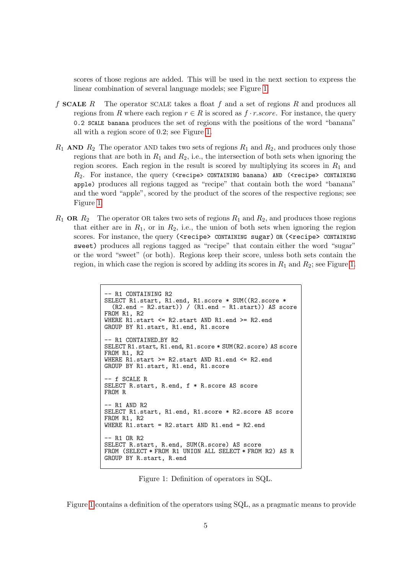scores of those regions are added. This will be used in the next section to express the linear combination of several language models; see Figure [1.](#page-4-0)

- f **SCALE** R The operator SCALE takes a float f and a set of regions R and produces all regions from R where each region  $r \in R$  is scored as  $f \cdot r \cdot score$ . For instance, the query 0.2 SCALE banana produces the set of regions with the positions of the word "banana" all with a region score of 0.2; see Figure [1.](#page-4-0)
- $R_1$  AND  $R_2$  The operator AND takes two sets of regions  $R_1$  and  $R_2$ , and produces only those regions that are both in  $R_1$  and  $R_2$ , i.e., the intersection of both sets when ignoring the region scores. Each region in the result is scored by multiplying its scores in  $R_1$  and  $R_2$ . For instance, the query (<recipe> CONTAINING banana) AND (<recipe> CONTAINING apple) produces all regions tagged as "recipe" that contain both the word "banana" and the word "apple", scored by the product of the scores of the respective regions; see Figure [1.](#page-4-0)
- $R_1$  OR  $R_2$  The operator OR takes two sets of regions  $R_1$  and  $R_2$ , and produces those regions that either are in  $R_1$ , or in  $R_2$ , i.e., the union of both sets when ignoring the region scores. For instance, the query (<recipe> CONTAINING sugar) OR (<recipe> CONTAINING sweet) produces all regions tagged as "recipe" that contain either the word "sugar" or the word "sweet" (or both). Regions keep their score, unless both sets contain the region, in which case the region is scored by adding its scores in  $R_1$  and  $R_2$ ; see Figure [1.](#page-4-0)

```
-- R1 CONTAINING R2
SELECT R1.start, R1.end, R1.score * SUM((R2.score *
  (R2.end - R2.start)) / (R1.end - R1.start)) AS score
FROM R1, R2
WHERE R1.start <= R2.start AND R1.end >= R2.end
GROUP BY R1.start, R1.end, R1.score
-- R1 CONTAINED BY R2
SELECT R1.start, R1.end, R1.score * SUM(R2.score) AS score
FROM R1, R2
WHERE R1.start >= R2.start AND R1.end \leq R2.end
GROUP BY R1.start, R1.end, R1.score
-- f SCALE R
SELECT R.start, R.end, f * R.score AS score
FROM R
-- R1 AND R2
SELECT R1.start, R1.end, R1.score * R2.score AS score
FROM R1, R2
WHERE R1.start = R2.start AND R1.end = R2.end-- R1 OR R2
SELECT R.start, R.end, SUM(R.score) AS score
FROM (SELECT * FROM R1 UNION ALL SELECT * FROM R2) AS R
GROUP BY R.start, R.end
```
<span id="page-4-0"></span>Figure 1: Definition of operators in SQL.

Figure [1](#page-4-0) contains a definition of the operators using SQL, as a pragmatic means to provide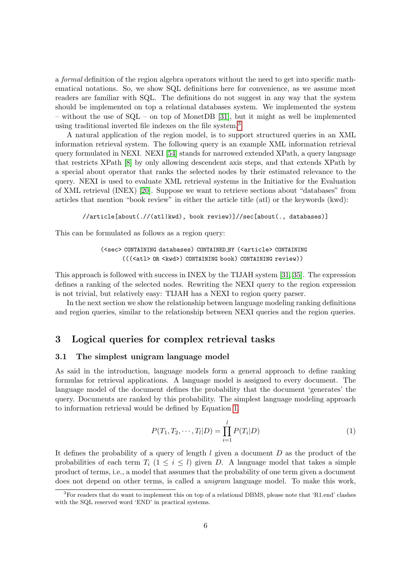a formal definition of the region algebra operators without the need to get into specific mathematical notations. So, we show SQL definitions here for convenience, as we assume most readers are familiar with SQL. The definitions do not suggest in any way that the system should be implemented on top a relational databases system. We implemented the system – without the use of SQL – on top of MonetDB [\[31\]](#page-14-9), but it might as well be implemented using traditional inverted file indexes on the file system.[3](#page-5-1)

A natural application of the region model, is to support structured queries in an XML information retrieval system. The following query is an example XML information retrieval query formulated in NEXI. NEXI [\[54\]](#page-15-5) stands for narrowed extended XPath, a query language that restricts XPath [\[8\]](#page-12-6) by only allowing descendent axis steps, and that extends XPath by a special about operator that ranks the selected nodes by their estimated relevance to the query. NEXI is used to evaluate XML retrieval systems in the Initiative for the Evaluation of XML retrieval (INEX) [\[20\]](#page-13-13). Suppose we want to retrieve sections about "databases" from articles that mention "book review" in either the article title (atl) or the keywords (kwd):

//article[about(.//(atl|kwd), book review)]//sec[about(., databases)]

This can be formulated as follows as a region query:

(<sec> CONTAINING databases) CONTAINED BY (<article> CONTAINING (((<atl> OR <kwd>) CONTAINING book) CONTAINING review))

This approach is followed with success in INEX by the TIJAH system [\[31,](#page-14-9) [35\]](#page-14-10). The expression defines a ranking of the selected nodes. Rewriting the NEXI query to the region expression is not trivial, but relatively easy: TIJAH has a NEXI to region query parser.

In the next section we show the relationship between language modeling ranking definitions and region queries, similar to the relationship between NEXI queries and the region queries.

# <span id="page-5-0"></span>3 Logical queries for complex retrieval tasks

#### 3.1 The simplest unigram language model

As said in the introduction, language models form a general approach to define ranking formulas for retrieval applications. A language model is assigned to every document. The language model of the document defines the probability that the document 'generates' the query. Documents are ranked by this probability. The simplest language modeling approach to information retrieval would be defined by Equation [1.](#page-5-2)

<span id="page-5-2"></span>
$$
P(T_1, T_2, \cdots, T_l | D) = \prod_{i=1}^l P(T_i | D)
$$
\n(1)

It defines the probability of a query of length  $l$  given a document  $D$  as the product of the probabilities of each term  $T_i$   $(1 \leq i \leq l)$  given D. A language model that takes a simple product of terms, i.e., a model that assumes that the probability of one term given a document does not depend on other terms, is called a *unigram* language model. To make this work,

<span id="page-5-1"></span> ${}^{3}$  For readers that do want to implement this on top of a relational DBMS, please note that 'R1.end' clashes with the SQL reserved word 'END' in practical systems.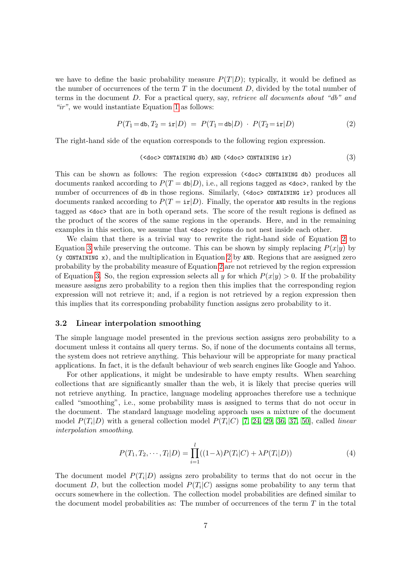we have to define the basic probability measure  $P(T|D)$ ; typically, it would be defined as the number of occurrences of the term  $T$  in the document  $D$ , divided by the total number of terms in the document D. For a practical query, say, retrieve all documents about "db" and " $ir$ ", we would instantiate Equation [1](#page-5-2) as follows:

<span id="page-6-0"></span>
$$
P(T_1 = \mathsf{db}, T_2 = \mathsf{ir}|D) = P(T_1 = \mathsf{db}|D) \cdot P(T_2 = \mathsf{ir}|D) \tag{2}
$$

The right-hand side of the equation corresponds to the following region expression.

<span id="page-6-1"></span>
$$
(\text{} \text{ CONTAINING db}) \text{ AND } (\text{} \text{ CONTAINING ir})
$$
 (3)

This can be shown as follows: The region expression (<doc> CONTAINING db) produces all documents ranked according to  $P(T = db|D)$ , i.e., all regions tagged as <doc>, ranked by the number of occurrences of db in those regions. Similarly, (<doc> CONTAINING ir) produces all documents ranked according to  $P(T = \text{ir}|D)$ . Finally, the operator AND results in the regions tagged as <doc> that are in both operand sets. The score of the result regions is defined as the product of the scores of the same regions in the operands. Here, and in the remaining examples in this section, we assume that <doc> regions do not nest inside each other.

We claim that there is a trivial way to rewrite the right-hand side of Equation [2](#page-6-0) to Equation [3](#page-6-1) while preserving the outcome. This can be shown by simply replacing  $P(x|y)$  by (y CONTAINING x), and the multiplication in Equation [2](#page-6-0) by AND. Regions that are assigned zero probability by the probability measure of Equation [2](#page-6-0) are not retrieved by the region expression of Equation [3.](#page-6-1) So, the region expression selects all y for which  $P(x|y) > 0$ . If the probability measure assigns zero probability to a region then this implies that the corresponding region expression will not retrieve it; and, if a region is not retrieved by a region expression then this implies that its corresponding probability function assigns zero probability to it.

#### 3.2 Linear interpolation smoothing

The simple language model presented in the previous section assigns zero probability to a document unless it contains all query terms. So, if none of the documents contains all terms, the system does not retrieve anything. This behaviour will be appropriate for many practical applications. In fact, it is the default behaviour of web search engines like Google and Yahoo.

For other applications, it might be undesirable to have empty results. When searching collections that are significantly smaller than the web, it is likely that precise queries will not retrieve anything. In practice, language modeling approaches therefore use a technique called "smoothing", i.e., some probability mass is assigned to terms that do not occur in the document. The standard language modeling approach uses a mixture of the document model  $P(T_i|D)$  with a general collection model  $P(T_i|C)$  [\[7,](#page-12-5) [24,](#page-13-2) [29,](#page-13-14) [36,](#page-14-3) [37,](#page-14-11) [50\]](#page-15-6), called *linear* interpolation smoothing.

<span id="page-6-2"></span>
$$
P(T_1, T_2, \cdots, T_l | D) = \prod_{i=1}^l ((1 - \lambda) P(T_i | C) + \lambda P(T_i | D))
$$
\n(4)

The document model  $P(T_i|D)$  assigns zero probability to terms that do not occur in the document D, but the collection model  $P(T_i|C)$  assigns some probability to any term that occurs somewhere in the collection. The collection model probabilities are defined similar to the document model probabilities as: The number of occurrences of the term  $T$  in the total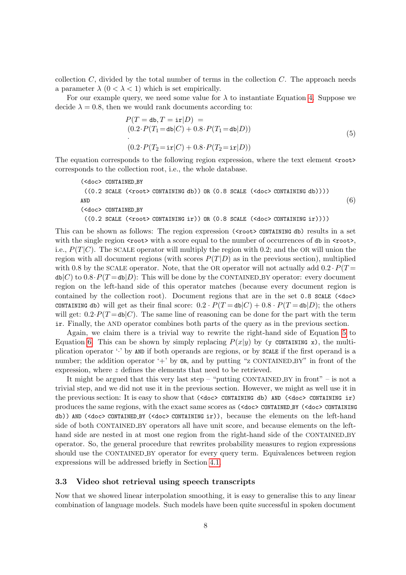collection  $C$ , divided by the total number of terms in the collection  $C$ . The approach needs a parameter  $\lambda$  (0 <  $\lambda$  < 1) which is set empirically.

For our example query, we need some value for  $\lambda$  to instantiate Equation [4.](#page-6-2) Suppose we decide  $\lambda = 0.8$ , then we would rank documents according to:

<span id="page-7-0"></span>
$$
P(T = \text{db}, T = \text{ir}|D) =
$$
  
(0.2 \cdot P(T\_1 = \text{db}|C) + 0.8 \cdot P(T\_1 = \text{db}|D))  
.  
(0.2 \cdot P(T\_2 = \text{ir}|C) + 0.8 \cdot P(T\_2 = \text{ir}|D)) (5)

The equation corresponds to the following region expression, where the text element  $\langle \text{root} \rangle$ corresponds to the collection root, i.e., the whole database.

```
(<doc> CONTAINED BY
 ((0.2 SCALE (<root> CONTAINING db)) OR (0.8 SCALE (<doc> CONTAINING db))))
AND
(<doc> CONTAINED BY
 ((0.2 SCALE (<root> CONTAINING ir)) OR (0.8 SCALE (<doc> CONTAINING ir))))
                                                                                  (6)
```
This can be shown as follows: The region expression (<root> CONTAINING db) results in a set with the single region  $\langle \text{root} \rangle$  with a score equal to the number of occurrences of db in  $\langle \text{root} \rangle$ , i.e.,  $P(T|C)$ . The SCALE operator will multiply the region with 0.2; and the OR will union the region with all document regions (with scores  $P(T|D)$  as in the previous section), multiplied with 0.8 by the SCALE operator. Note, that the OR operator will not actually add  $0.2 \cdot P(T =$  $db|C$  to  $0.8 \cdot P(T = db|D)$ : This will be done by the CONTAINED BY operator: every document region on the left-hand side of this operator matches (because every document region is contained by the collection root). Document regions that are in the set 0.8 SCALE (<doc> CONTAINING db) will get as their final score:  $0.2 \cdot P(T = db|C) + 0.8 \cdot P(T = db|D)$ ; the others will get:  $0.2 \cdot P(T = db|C)$ . The same line of reasoning can be done for the part with the term ir. Finally, the AND operator combines both parts of the query as in the previous section.

Again, we claim there is a trivial way to rewrite the right-hand side of Equation [5](#page-7-0) to Equation [6.](#page-7-1) This can be shown by simply replacing  $P(x|y)$  by (y CONTAINING x), the multiplication operator '·' by AND if both operands are regions, or by SCALE if the first operand is a number; the addition operator  $+$ ' by  $\alpha$ , and by putting "z CONTAINED BY" in front of the expression, where z defines the elements that need to be retrieved.

It might be argued that this very last step – "putting CONTAINED BY in front" – is not a trivial step, and we did not use it in the previous section. However, we might as well use it in the previous section: It is easy to show that (<doc> CONTAINING db) AND (<doc> CONTAINING ir) produces the same regions, with the exact same scores as (<doc> CONTAINED BY (<doc> CONTAINING db)) AND (<doc> CONTAINED BY (<doc> CONTAINING ir)), because the elements on the left-hand side of both CONTAINED BY operators all have unit score, and because elements on the lefthand side are nested in at most one region from the right-hand side of the CONTAINED BY operator. So, the general procedure that rewrites probability measures to region expressions should use the CONTAINED BY operator for every query term. Equivalences between region expressions will be addressed briefly in Section [4.1.](#page-10-1)

## 3.3 Video shot retrieval using speech transcripts

Now that we showed linear interpolation smoothing, it is easy to generalise this to any linear combination of language models. Such models have been quite successful in spoken document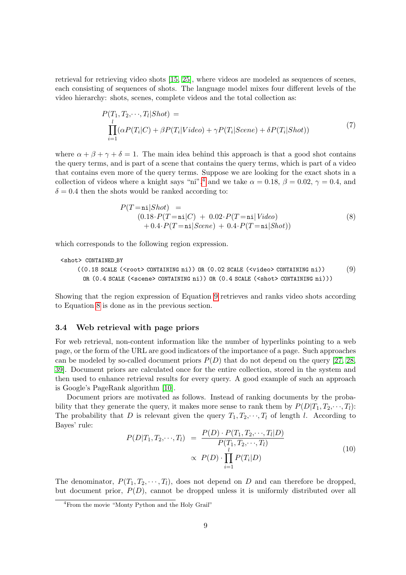retrieval for retrieving video shots [\[15,](#page-13-12) [25\]](#page-13-5), where videos are modeled as sequences of scenes, each consisting of sequences of shots. The language model mixes four different levels of the video hierarchy: shots, scenes, complete videos and the total collection as:

$$
P(T_1, T_2, \cdots, T_l| Shot) =
$$
  
\n
$$
\prod_{i=1}^{l} (\alpha P(T_i|C) + \beta P(T_i|Video) + \gamma P(T_i|Seene) + \delta P(T_i| Shot))
$$
\n(7)

where  $\alpha + \beta + \gamma + \delta = 1$ . The main idea behind this approach is that a good shot contains the query terms, and is part of a scene that contains the query terms, which is part of a video that contains even more of the query terms. Suppose we are looking for the exact shots in a collection of videos where a knight says "ni",<sup>[4](#page-8-0)</sup> and we take  $\alpha = 0.18$ ,  $\beta = 0.02$ ,  $\gamma = 0.4$ , and  $\delta = 0.4$  then the shots would be ranked according to:

<span id="page-8-2"></span>
$$
P(T = \text{ni}| Shot) =
$$
  
(0.18 \t\t\t $P(T = \text{ni}|C) + 0.02 \cdot P(T = \text{ni}|Video)$   
+ 0.4 \t\t\t $P(T = \text{ni}|Score) + 0.4 \cdot P(T = \text{ni}|Short)$ ) (8)

which corresponds to the following region expression.

```
<shot> CONTAINED BY
```

```
((0.18 SCALE (<root> CONTAINING ni)) OR (0.02 SCALE (<video> CONTAINING ni))
 OR (0.4 SCALE (<scene> CONTAINING ni)) OR (0.4 SCALE (<shot> CONTAINING ni)))
                                                                                   (9)
```
Showing that the region expression of Equation [9](#page-8-1) retrieves and ranks video shots according to Equation [8](#page-8-2) is done as in the previous section.

## 3.4 Web retrieval with page priors

For web retrieval, non-content information like the number of hyperlinks pointing to a web page, or the form of the URL are good indicators of the importance of a page. Such approaches can be modeled by so-called document priors  $P(D)$  that do not depend on the query [\[27,](#page-13-11) [28,](#page-13-4) [39\]](#page-14-8). Document priors are calculated once for the entire collection, stored in the system and then used to enhance retrieval results for every query. A good example of such an approach is Google's PageRank algorithm [\[10\]](#page-12-7).

Document priors are motivated as follows. Instead of ranking documents by the probability that they generate the query, it makes more sense to rank them by  $P(D|T_1, T_2, \dots, T_l)$ : The probability that D is relevant given the query  $T_1, T_2, \dots, T_l$  of length l. According to Bayes' rule:

$$
P(D|T_1, T_2, \cdots, T_l) = \frac{P(D) \cdot P(T_1, T_2, \cdots, T_l|D)}{P(T_1, T_2, \cdots, T_l)} \propto P(D) \cdot \prod_{i=1}^l P(T_i|D)
$$
\n(10)

The denominator,  $P(T_1, T_2, \dots, T_l)$ , does not depend on D and can therefore be dropped, but document prior,  $P(D)$ , cannot be dropped unless it is uniformly distributed over all

<span id="page-8-0"></span><sup>4</sup>From the movie "Monty Python and the Holy Grail"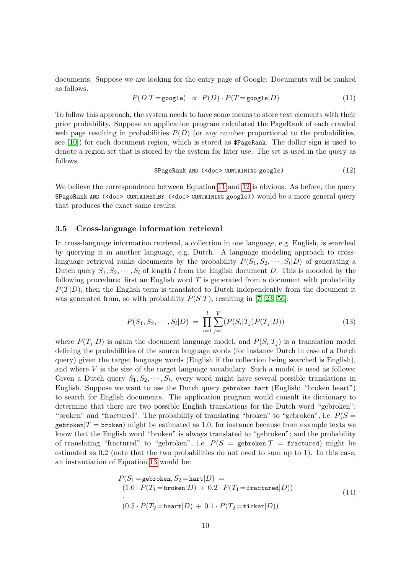documents. Suppose we are looking for the entry page of Google. Documents will be ranked as follows.

<span id="page-9-0"></span>
$$
P(D|T = \text{google}) \propto P(D) \cdot P(T = \text{google}|D)
$$
\n(11)

To follow this approach, the system needs to have some means to store text elements with their prior probability. Suppose an application program calculated the PageRank of each crawled web page resulting in probabilities  $P(D)$  (or any number proportional to the probabilities, see [\[10\]](#page-12-7)) for each document region, which is stored as \$PageRank. The dollar sign is used to denote a region set that is stored by the system for later use. The set is used in the query as follows.

<span id="page-9-1"></span> $PageRank AND (*doc* > CONTAINING Google)$  (12)

We believe the correspondence between Equation [11](#page-9-0) and [12](#page-9-1) is obvious. As before, the query \$PageRank AND (<doc> CONTAINED BY (<doc> CONTAINING google)) would be a more general query that produces the exact same results.

## 3.5 Cross-language information retrieval

In cross-language information retrieval, a collection in one language, e.g. English, is searched by querying it in another language, e.g. Dutch. A language modeling approach to crosslanguage retrieval ranks documents by the probability  $P(S_1, S_2, \dots, S_l | D)$  of generating a Dutch query  $S_1, S_2, \dots, S_l$  of length l from the English document D. This is modeled by the following procedure: first an English word  $T$  is generated from a document with probability  $P(T|D)$ , then the English term is translated to Dutch independently from the document it was generated from, so with probability  $P(S|T)$ , resulting in [\[7,](#page-12-5) [23,](#page-13-3) [56\]](#page-15-4):

<span id="page-9-2"></span>
$$
P(S_1, S_2, \cdots, S_l | D) = \prod_{i=1}^{l} \sum_{j=1}^{V} (P(S_i | T_j) P(T_j | D))
$$
\n(13)

where  $P(T_j|D)$  is again the document language model, and  $P(S_i|T_j)$  is a translation model defining the probabilities of the source language words (for instance Dutch in case of a Dutch query) given the target language words (English if the collection being searched is English), and where  $V$  is the size of the target language vocabulary. Such a model is used as follows: Given a Dutch query  $S_1, S_2, \dots, S_l$ , every word might have several possible translations in English. Suppose we want to use the Dutch query gebroken hart (English: "broken heart") to search for English documents. The application program would consult its dictionary to determine that there are two possible English translations for the Dutch word "gebroken": "broken" and "fractured". The probability of translating "broken" to "gebroken", i.e.  $P(S =$ gebroken $T =$  broken) might be estimated as 1.0, for instance because from example texts we know that the English word "broken" is always translated to "gebroken"; and the probability of translating "fractured" to "gebroken", i.e.  $P(S = \text{gebroken}|T = \text{fractured})$  might be estimated as 0.2 (note that the two probabilities do not need to sum up to 1). In this case, an instantiation of Equation [13](#page-9-2) would be:

<span id="page-9-3"></span>
$$
P(S_1 = \text{gebroken}, S_2 = \text{hart}|D) =
$$
  
(1.0 · P(T<sub>1</sub> = \text{broken}|D) + 0.2 · P(T<sub>1</sub> = \text{fractured}|D))  
·  
(0.5 · P(T<sub>2</sub> = \text{heart}|D) + 0.1 · P(T<sub>2</sub> = \text{ticker}|D)) (14)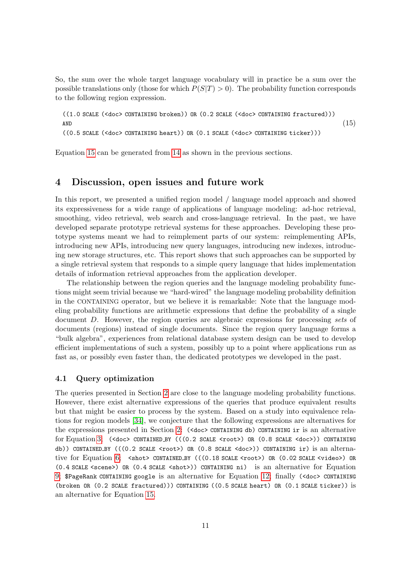So, the sum over the whole target language vocabulary will in practice be a sum over the possible translations only (those for which  $P(S|T) > 0$ ). The probability function corresponds to the following region expression.

<span id="page-10-2"></span>((1.0 SCALE (<doc> CONTAINING broken)) OR (0.2 SCALE (<doc> CONTAINING fractured))) AND (15)

((0.5 SCALE (<doc> CONTAINING heart)) OR (0.1 SCALE (<doc> CONTAINING ticker)))

Equation [15](#page-10-2) can be generated from [14](#page-9-3) as shown in the previous sections.

## <span id="page-10-0"></span>4 Discussion, open issues and future work

In this report, we presented a unified region model / language model approach and showed its expressiveness for a wide range of applications of language modeling: ad-hoc retrieval, smoothing, video retrieval, web search and cross-language retrieval. In the past, we have developed separate prototype retrieval systems for these approaches. Developing these prototype systems meant we had to reimplement parts of our system: reimplementing APIs, introducing new APIs, introducing new query languages, introducing new indexes, introducing new storage structures, etc. This report shows that such approaches can be supported by a single retrieval system that responds to a simple query language that hides implementation details of information retrieval approaches from the application developer.

The relationship between the region queries and the language modeling probability functions might seem trivial because we "hard-wired" the language modeling probability definition in the CONTAINING operator, but we believe it is remarkable: Note that the language modeling probability functions are arithmetic expressions that define the probability of a single document D. However, the region queries are algebraic expressions for processing sets of documents (regions) instead of single documents. Since the region query language forms a "bulk algebra", experiences from relational database system design can be used to develop efficient implementations of such a system, possibly up to a point where applications run as fast as, or possibly even faster than, the dedicated prototypes we developed in the past.

#### <span id="page-10-1"></span>4.1 Query optimization

The queries presented in Section [2](#page-3-0) are close to the language modeling probability functions. However, there exist alternative expressions of the queries that produce equivalent results but that might be easier to process by the system. Based on a study into equivalence relations for region models [\[34\]](#page-14-12), we conjecture that the following expressions are alternatives for the expressions presented in Section [2:](#page-3-0) (<doc> CONTAINING db) CONTAINING ir is an alternative for Equation [3;](#page-6-1) (<doc> CONTAINED BY (((0.2 SCALE <root>) OR (0.8 SCALE <doc>)) CONTAINING db)) CONTAINED BY (((0.2 SCALE <root>) OR (0.8 SCALE <doc>)) CONTAINING ir) is an alterna-tive for Equation [6;](#page-7-1) <shot> CONTAINED\_BY (((0.18 SCALE <root>) OR (0.02 SCALE <video>) OR (0.4 SCALE <scene>) OR (0.4 SCALE <shot>)) CONTAINING ni) is an alternative for Equation [9;](#page-8-1) \$PageRank CONTAINING google is an alternative for Equation [12;](#page-9-1) finally (<doc> CONTAINING (broken OR (0.2 SCALE fractured))) CONTAINING ((0.5 SCALE heart) OR (0.1 SCALE ticker)) is an alternative for Equation [15.](#page-10-2)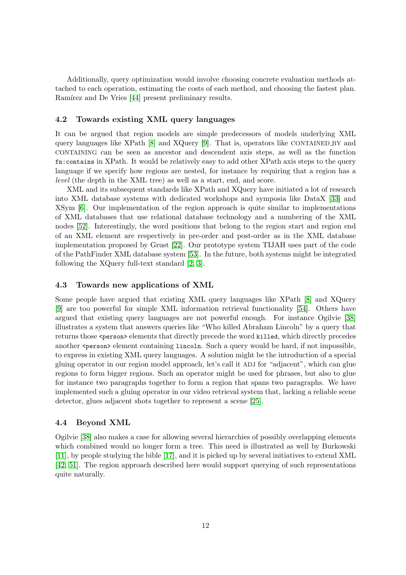Additionally, query optimization would involve choosing concrete evaluation methods attached to each operation, estimating the costs of each method, and choosing the fastest plan. Ramírez and De Vries [\[44\]](#page-14-13) present preliminary results.

## 4.2 Towards existing XML query languages

It can be argued that region models are simple predecessors of models underlying XML query languages like XPath [\[8\]](#page-12-6) and XQuery [\[9\]](#page-12-8). That is, operators like CONTAINED BY and CONTAINING can be seen as ancestor and descendent axis steps, as well as the function fn:contains in XPath. It would be relatively easy to add other XPath axis steps to the query language if we specify how regions are nested, for instance by requiring that a region has a level (the depth in the XML tree) as well as a start, end, and score.

XML and its subsequent standards like XPath and XQuery have initiated a lot of research into XML database systems with dedicated workshops and symposia like DataX [\[33\]](#page-14-14) and XSym [\[6\]](#page-12-9). Our implementation of the region approach is quite similar to implementations of XML databases that use relational database technology and a numbering of the XML nodes [\[52\]](#page-15-7). Interestingly, the word positions that belong to the region start and region end of an XML element are respectively in pre-order and post-order as in the XML database implementation proposed by Grust [\[22\]](#page-13-15). Our prototype system TIJAH uses part of the code of the PathFinder XML database system [\[53\]](#page-15-8). In the future, both systems might be integrated following the XQuery full-text standard [\[2,](#page-12-10) [3\]](#page-12-11).

#### 4.3 Towards new applications of XML

Some people have argued that existing XML query languages like XPath [\[8\]](#page-12-6) and XQuery [\[9\]](#page-12-8) are too powerful for simple XML information retrieval functionality [\[54\]](#page-15-5). Others have argued that existing query languages are not powerful enough. For instance Ogilvie [\[38\]](#page-14-15) illustrates a system that answers queries like "Who killed Abraham Lincoln" by a query that returns those  $\epsilon$  person> elements that directly precede the word killed, which directly precedes another <person> element containing lincoln. Such a query would be hard, if not impossible, to express in existing XML query languages. A solution might be the introduction of a special gluing operator in our region model approach, let's call it ADJ for "adjacent", which can glue regions to form bigger regions. Such an operator might be used for phrases, but also to glue for instance two paragraphs together to form a region that spans two paragraphs. We have implemented such a gluing operator in our video retrieval system that, lacking a reliable scene detector, glues adjacent shots together to represent a scene [\[25\]](#page-13-5).

#### 4.4 Beyond XML

Ogilvie [\[38\]](#page-14-15) also makes a case for allowing several hierarchies of possibly overlapping elements which combined would no longer form a tree. This need is illustrated as well by Burkowski [\[11\]](#page-12-2), by people studying the bible [\[17\]](#page-13-16), and it is picked up by several initiatives to extend XML [\[42,](#page-14-16) [51\]](#page-15-9). The region approach described here would support querying of such representations quite naturally.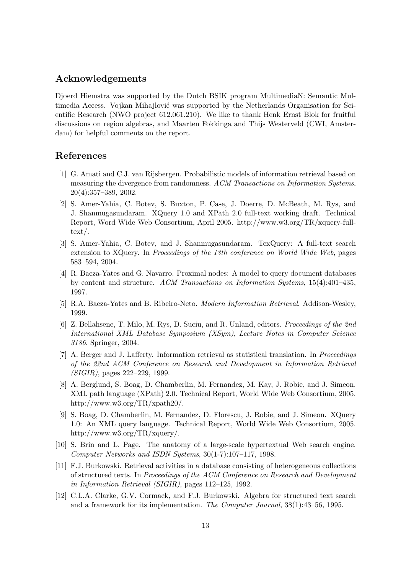# Acknowledgements

Djoerd Hiemstra was supported by the Dutch BSIK program MultimediaN: Semantic Multimedia Access. Vojkan Mihajlović was supported by the Netherlands Organisation for Scientific Research (NWO project 612.061.210). We like to thank Henk Ernst Blok for fruitful discussions on region algebras, and Maarten Fokkinga and Thijs Westerveld (CWI, Amsterdam) for helpful comments on the report.

# References

- <span id="page-12-1"></span>[1] G. Amati and C.J. van Rijsbergen. Probabilistic models of information retrieval based on measuring the divergence from randomness. ACM Transactions on Information Systems, 20(4):357–389, 2002.
- <span id="page-12-10"></span>[2] S. Amer-Yahia, C. Botev, S. Buxton, P. Case, J. Doerre, D. McBeath, M. Rys, and J. Shanmugasundaram. XQuery 1.0 and XPath 2.0 full-text working draft. Technical Report, Word Wide Web Consortium, April 2005. http://www.w3.org/TR/xquery-fulltext/.
- <span id="page-12-11"></span>[3] S. Amer-Yahia, C. Botev, and J. Shanmugasundaram. TexQuery: A full-text search extension to XQuery. In Proceedings of the 13th conference on World Wide Web, pages 583–594, 2004.
- <span id="page-12-4"></span>[4] R. Baeza-Yates and G. Navarro. Proximal nodes: A model to query document databases by content and structure. ACM Transactions on Information Systems, 15(4):401–435, 1997.
- <span id="page-12-0"></span>[5] R.A. Baeza-Yates and B. Ribeiro-Neto. Modern Information Retrieval. Addison-Wesley, 1999.
- <span id="page-12-9"></span>[6] Z. Bellahsene, T. Milo, M. Rys, D. Suciu, and R. Unland, editors. Proceedings of the 2nd International XML Database Symposium (XSym), Lecture Notes in Computer Science 3186. Springer, 2004.
- <span id="page-12-5"></span>[7] A. Berger and J. Lafferty. Information retrieval as statistical translation. In Proceedings of the 22nd ACM Conference on Research and Development in Information Retrieval (SIGIR), pages 222–229, 1999.
- <span id="page-12-6"></span>[8] A. Berglund, S. Boag, D. Chamberlin, M. Fernandez, M. Kay, J. Robie, and J. Simeon. XML path language (XPath) 2.0. Technical Report, World Wide Web Consortium, 2005. http://www.w3.org/TR/xpath20/.
- <span id="page-12-8"></span>[9] S. Boag, D. Chamberlin, M. Fernandez, D. Florescu, J. Robie, and J. Simeon. XQuery 1.0: An XML query language. Technical Report, World Wide Web Consortium, 2005. http://www.w3.org/TR/xquery/.
- <span id="page-12-7"></span>[10] S. Brin and L. Page. The anatomy of a large-scale hypertextual Web search engine. Computer Networks and ISDN Systems, 30(1-7):107–117, 1998.
- <span id="page-12-2"></span>[11] F.J. Burkowski. Retrieval activities in a database consisting of heterogeneous collections of structured texts. In Proceedings of the ACM Conference on Research and Development in Information Retrieval (SIGIR), pages 112–125, 1992.
- <span id="page-12-3"></span>[12] C.L.A. Clarke, G.V. Cormack, and F.J. Burkowski. Algebra for structured text search and a framework for its implementation. The Computer Journal, 38(1):43–56, 1995.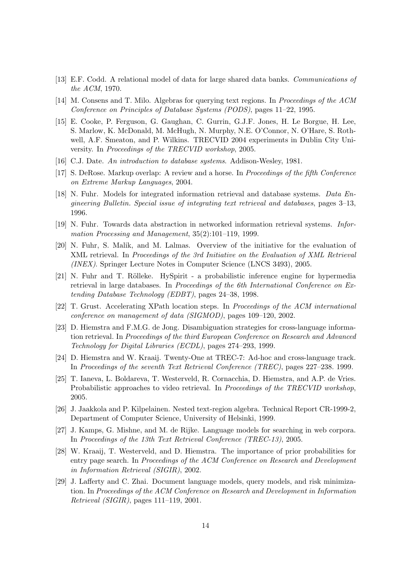- <span id="page-13-0"></span>[13] E.F. Codd. A relational model of data for large shared data banks. Communications of the ACM, 1970.
- <span id="page-13-9"></span>[14] M. Consens and T. Milo. Algebras for querying text regions. In Proceedings of the ACM Conference on Principles of Database Systems (PODS), pages 11–22, 1995.
- <span id="page-13-12"></span>[15] E. Cooke, P. Ferguson, G. Gaughan, C. Gurrin, G.J.F. Jones, H. Le Borgue, H. Lee, S. Marlow, K. McDonald, M. McHugh, N. Murphy, N.E. O'Connor, N. O'Hare, S. Rothwell, A.F. Smeaton, and P. Wilkins. TRECVID 2004 experiments in Dublin City University. In Proceedings of the TRECVID workshop, 2005.
- <span id="page-13-1"></span>[16] C.J. Date. An introduction to database systems. Addison-Wesley, 1981.
- <span id="page-13-16"></span>[17] S. DeRose. Markup overlap: A review and a horse. In Proceedings of the fifth Conference on Extreme Markup Languages, 2004.
- <span id="page-13-7"></span>[18] N. Fuhr. Models for integrated information retrieval and database systems. Data Engineering Bulletin. Special issue of integrating text retrieval and databases, pages 3–13, 1996.
- <span id="page-13-6"></span>[19] N. Fuhr. Towards data abstraction in networked information retrieval systems. Information Processing and Management, 35(2):101–119, 1999.
- <span id="page-13-13"></span>[20] N. Fuhr, S. Malik, and M. Lalmas. Overview of the initiative for the evaluation of XML retrieval. In Proceedings of the 3rd Initiative on the Evaluation of XML Retrieval (INEX). Springer Lecture Notes in Computer Science (LNCS 3493), 2005.
- <span id="page-13-8"></span>[21] N. Fuhr and T. Rölleke. HySpirit - a probabilistic inference engine for hypermedia retrieval in large databases. In Proceedings of the 6th International Conference on Extending Database Technology (EDBT), pages 24–38, 1998.
- <span id="page-13-15"></span>[22] T. Grust. Accelerating XPath location steps. In Proceedings of the ACM international conference on management of data (SIGMOD), pages 109–120, 2002.
- <span id="page-13-3"></span>[23] D. Hiemstra and F.M.G. de Jong. Disambiguation strategies for cross-language information retrieval. In Proceedings of the third European Conference on Research and Advanced Technology for Digital Libraries (ECDL), pages 274–293, 1999.
- <span id="page-13-2"></span>[24] D. Hiemstra and W. Kraaij. Twenty-One at TREC-7: Ad-hoc and cross-language track. In Proceedings of the seventh Text Retrieval Conference (TREC), pages 227–238. 1999.
- <span id="page-13-5"></span>[25] T. Ianeva, L. Boldareva, T. Westerveld, R. Cornacchia, D. Hiemstra, and A.P. de Vries. Probabilistic approaches to video retrieval. In *Proceedings of the TRECVID workshop*, 2005.
- <span id="page-13-10"></span>[26] J. Jaakkola and P. Kilpelainen. Nested text-region algebra. Technical Report CR-1999-2, Department of Computer Science, University of Helsinki, 1999.
- <span id="page-13-11"></span>[27] J. Kamps, G. Mishne, and M. de Rijke. Language models for searching in web corpora. In Proceedings of the 13th Text Retrieval Conference (TREC-13), 2005.
- <span id="page-13-4"></span>[28] W. Kraaij, T. Westerveld, and D. Hiemstra. The importance of prior probabilities for entry page search. In Proceedings of the ACM Conference on Research and Development in Information Retrieval (SIGIR), 2002.
- <span id="page-13-14"></span>[29] J. Lafferty and C. Zhai. Document language models, query models, and risk minimization. In Proceedings of the ACM Conference on Research and Development in Information Retrieval (SIGIR), pages 111–119, 2001.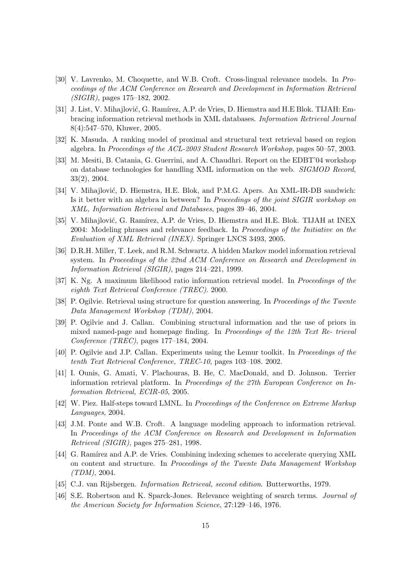- <span id="page-14-7"></span>[30] V. Lavrenko, M. Choquette, and W.B. Croft. Cross-lingual relevance models. In Proceedings of the ACM Conference on Research and Development in Information Retrieval (SIGIR), pages 175–182, 2002.
- <span id="page-14-9"></span>[31] J. List, V. Mihajlović, G. Ramírez, A.P. de Vries, D. Hiemstra and H.E Blok. TIJAH: Embracing information retrieval methods in XML databases. Information Retrieval Journal 8(4):547–570, Kluwer, 2005.
- <span id="page-14-5"></span>[32] K. Masuda. A ranking model of proximal and structural text retrieval based on region algebra. In Proceedings of the ACL-2003 Student Research Workshop, pages 50–57, 2003.
- <span id="page-14-14"></span>[33] M. Mesiti, B. Catania, G. Guerrini, and A. Chaudhri. Report on the EDBT'04 workshop on database technologies for handling XML information on the web. SIGMOD Record, 33(2), 2004.
- <span id="page-14-12"></span>[34] V. Mihajlović, D. Hiemstra, H.E. Blok, and P.M.G. Apers. An XML-IR-DB sandwich: Is it better with an algebra in between? In Proceedings of the joint SIGIR workshop on XML, Information Retrieval and Databases, pages 39–46, 2004.
- <span id="page-14-10"></span>[35] V. Mihajlović, G. Ramírez, A.P. de Vries, D. Hiemstra and H.E. Blok. TIJAH at INEX 2004: Modeling phrases and relevance feedback. In Proceedings of the Initiative on the Evaluation of XML Retrieval (INEX). Springer LNCS 3493, 2005.
- <span id="page-14-3"></span>[36] D.R.H. Miller, T. Leek, and R.M. Schwartz. A hidden Markov model information retrieval system. In Proceedings of the 22nd ACM Conference on Research and Development in Information Retrieval (SIGIR), pages 214–221, 1999.
- <span id="page-14-11"></span>[37] K. Ng. A maximum likelihood ratio information retrieval model. In Proceedings of the eighth Text Retrieval Conference (TREC). 2000.
- <span id="page-14-15"></span>[38] P. Ogilvie. Retrieval using structure for question answering. In Proceedings of the Twente Data Management Workshop (TDM), 2004.
- <span id="page-14-8"></span>[39] P. Ogilvie and J. Callan. Combining structural information and the use of priors in mixed named-page and homepage finding. In Proceedings of the 12th Text Re- trieval Conference (TREC), pages 177–184, 2004.
- <span id="page-14-2"></span>[40] P. Ogilvie and J.P. Callan. Experiments using the Lemur toolkit. In Proceedings of the tenth Text Retrieval Conference, TREC-10, pages 103–108. 2002.
- <span id="page-14-1"></span>[41] I. Ounis, G. Amati, V. Plachouras, B. He, C. MacDonald, and D. Johnson. Terrier information retrieval platform. In Proceedings of the 27th European Conference on Information Retrieval, ECIR-05, 2005.
- <span id="page-14-16"></span>[42] W. Piez. Half-steps toward LMNL. In Proceedings of the Conference on Extreme Markup Languages, 2004.
- <span id="page-14-4"></span>[43] J.M. Ponte and W.B. Croft. A language modeling approach to information retrieval. In Proceedings of the ACM Conference on Research and Development in Information Retrieval (SIGIR), pages 275–281, 1998.
- <span id="page-14-13"></span>[44] G. Ramírez and A.P. de Vries. Combining indexing schemes to accelerate querying XML on content and structure. In Proceedings of the Twente Data Management Workshop  $(TDM)$ , 2004.
- <span id="page-14-0"></span>[45] C.J. van Rijsbergen. Information Retrieval, second edition. Butterworths, 1979.
- <span id="page-14-6"></span>[46] S.E. Robertson and K. Sparck-Jones. Relevance weighting of search terms. Journal of the American Society for Information Science, 27:129–146, 1976.